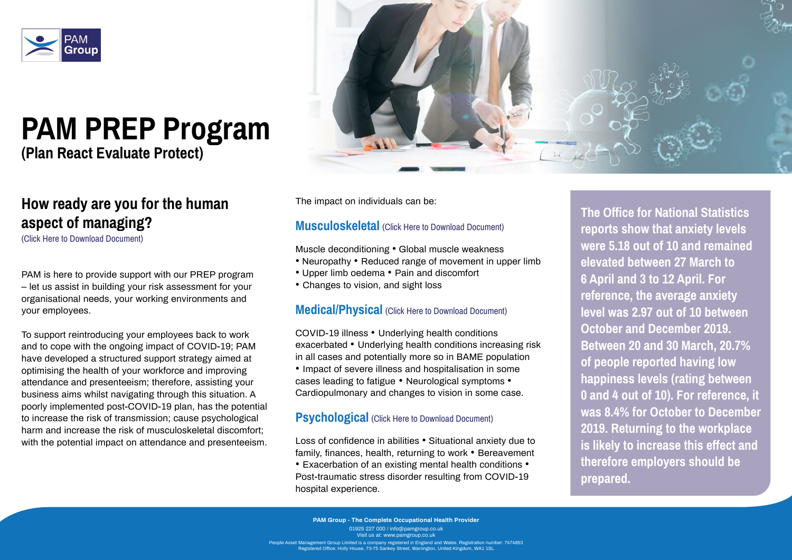

# **PAM PREP Program**

**(Plan React Evaluate Protect)**

# **How ready are you for the human aspect of managing?**

[\(Click Here to Download Document\)](https://2cf73e4c-fe48-4061-af93-be7777936cdb.usrfiles.com/ugd/2cf73e_3836041c9e434bf5b89cb29f11605069.pdf)

PAM is here to provide support with our PREP program – let us assist in building your risk assessment for your organisational needs, your working environments and your employees.

To support reintroducing your employees back to work and to cope with the ongoing impact of COVID-19; PAM have developed a structured support strategy aimed at optimising the health of your workforce and improving attendance and presenteeism; therefore, assisting your business aims whilst navigating through this situation. A poorly implemented post-COVID-19 plan, has the potential to increase the risk of transmission; cause psychological harm and increase the risk of musculoskeletal discomfort; with the potential impact on attendance and presenteeism.

The impact on individuals can be:

#### **Musculoskeletal** [\(Click Here to Download Document\)](https://2cf73e4c-fe48-4061-af93-be7777936cdb.usrfiles.com/ugd/2cf73e_bb8060b012164fdf8be85ba289ae70ea.docx)

**PAM Group - The Complete Occupational Health Provider** 01925 227 000 / info@pamgroup.co.uk Visit us at: www.pamgroup.co.uk  $\epsilon$ gement Group Limited is a company registered in England and Wales. Registration number: 7474853 -<br>Iered Office: Holly House, 73-75 Sankey Street, Warrington, United Kingdom, WA1 1SL

Muscle deconditioning • Global muscle weakness

- Neuropathy Reduced range of movement in upper limb
- Upper limb oedema Pain and discomfort
- Changes to vision, and sight loss

#### **Medical/Physical** [\(Click Here to Download Document\)](https://2cf73e4c-fe48-4061-af93-be7777936cdb.usrfiles.com/ugd/2cf73e_2d43069838e045a7a8071868ab11c1ea.docx)

COVID-19 illness • Underlying health conditions exacerbated • Underlying health conditions increasing risk in all cases and potentially more so in BAME population • Impact of severe illness and hospitalisation in some cases leading to fatigue • Neurological symptoms • Cardiopulmonary and changes to vision in some case.

#### **Psychological** [\(Click Here to Download Document\)](https://2cf73e4c-fe48-4061-af93-be7777936cdb.usrfiles.com/ugd/2cf73e_02781c58b0ec4193b48eab71f4d63498.docx)

Loss of confidence in abilities • Situational anxiety due to family, finances, health, returning to work • Bereavement • Exacerbation of an existing mental health conditions • Post-traumatic stress disorder resulting from COVID-19 hospital experience.

**The Office for National Statistics reports show that anxiety levels were 5.18 out of 10 and remained elevated between 27 March to 6 April and 3 to 12 April. For reference, the average anxiety level was 2.97 out of 10 between October and December 2019. Between 20 and 30 March, 20.7% of people reported having low happiness levels (rating between 0 and 4 out of 10). For reference, it was 8.4% for October to December 2019. Returning to the workplace is likely to increase this effect and therefore employers should be prepared.**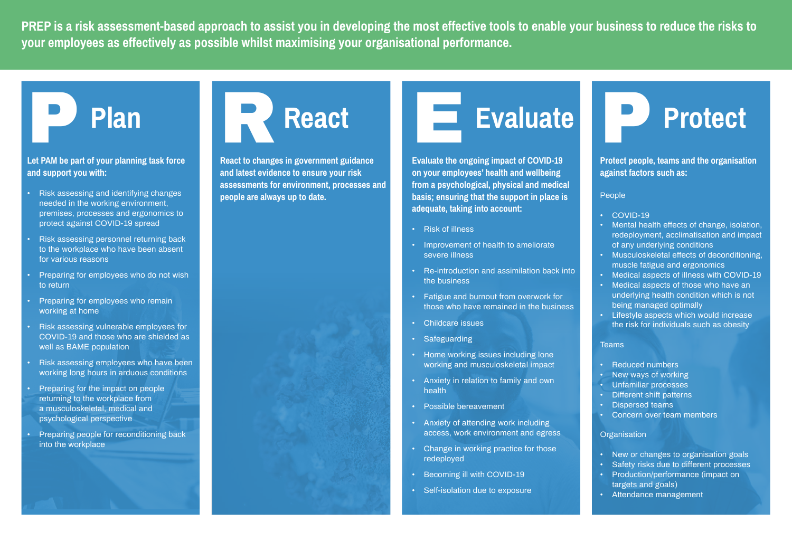**PREP is a risk assessment-based approach to assist you in developing the most effective tools to enable your business to reduce the risks to your employees as effectively as possible whilst maximising your organisational performance.** 

#### **Let PAM be part of your planning task force and support you with:**

- Risk assessing and identifying changes needed in the working environment, premises, processes and ergonomics to protect against COVID-19 spread
- Risk assessing personnel returning back to the workplace who have been absent for various reasons
- Preparing for employees who do not wish to return
- **Preparing for employees who remain** working at home
- Risk assessing vulnerable employees for COVID-19 and those who are shielded as well as BAME population
- Risk assessing employees who have been working long hours in arduous conditions
- Preparing for the impact on people returning to the workplace from a musculoskeletal, medical and psychological perspective
- Preparing people for reconditioning back into the workplace



**React to changes in government guidance and latest evidence to ensure your risk assessments for environment, processes and people are always up to date.**

# Evaluate



**Evaluate the ongoing impact of COVID-19 on your employees' health and wellbeing from a psychological, physical and medical basis; ensuring that the support in place is adequate, taking into account:** 

- New or changes to organisation goals
- Safety risks due to different processes
- Production/performance (impact on targets and goals)
- Attendance management
- Risk of illness
- Improvement of health to ameliorate severe illness
- Re-introduction and assimilation back into the business
- Fatigue and burnout from overwork for those who have remained in the business
- Childcare issues
- Safeguarding
- Home working issues including lone working and musculoskeletal impact
- Anxiety in relation to family and own health
- Possible bereavement
- Anxiety of attending work including access, work environment and egress
- Change in working practice for those redeployed
- Becoming ill with COVID-19
- Self-isolation due to exposure

**Protect people, teams and the organisation against factors such as:** 

#### People

- COVID-19
- Mental health effects of change, isolation, redeployment, acclimatisation and impact of any underlying conditions
- Musculoskeletal effects of deconditioning, muscle fatigue and ergonomics
- Medical aspects of illness with COVID-19
- Medical aspects of those who have an underlying health condition which is not being managed optimally
- Lifestyle aspects which would increase the risk for individuals such as obesity

#### **Teams**

- Reduced numbers
- New ways of working
- Unfamiliar processes
- Different shift patterns
- Dispersed teams
- Concern over team members

#### **Organisation**

P **Protect**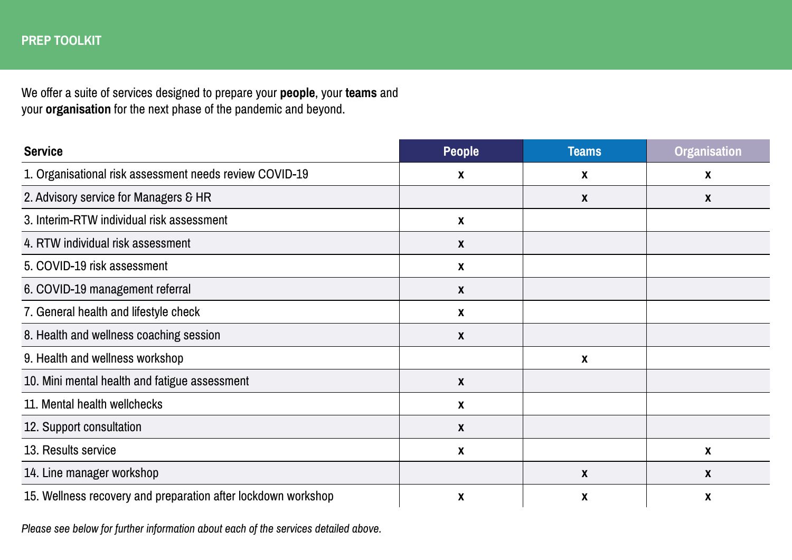| <b>Service</b>                                                | People | <b>Teams</b> | <b>Organisation</b> |
|---------------------------------------------------------------|--------|--------------|---------------------|
| 1. Organisational risk assessment needs review COVID-19       | X      | X            | X                   |
| 2. Advisory service for Managers & HR                         |        | X            | $\boldsymbol{X}$    |
| 3. Interim-RTW individual risk assessment                     | X      |              |                     |
| 4. RTW individual risk assessment                             | X      |              |                     |
| 5. COVID-19 risk assessment                                   | X      |              |                     |
| 6. COVID-19 management referral                               | X      |              |                     |
| 7. General health and lifestyle check                         | X      |              |                     |
| 8. Health and wellness coaching session                       | X      |              |                     |
| 9. Health and wellness workshop                               |        | X            |                     |
| 10. Mini mental health and fatigue assessment                 | X      |              |                     |
| 11. Mental health wellchecks                                  | X      |              |                     |
| 12. Support consultation                                      | X      |              |                     |
| 13. Results service                                           | X      |              | X                   |
| 14. Line manager workshop                                     |        | X            | X                   |
| 15. Wellness recovery and preparation after lockdown workshop | X      | X            | X                   |

We offer a suite of services designed to prepare your **people**, your **teams** and your **organisation** for the next phase of the pandemic and beyond.

*Please see below for further information about each of the services detailed above.*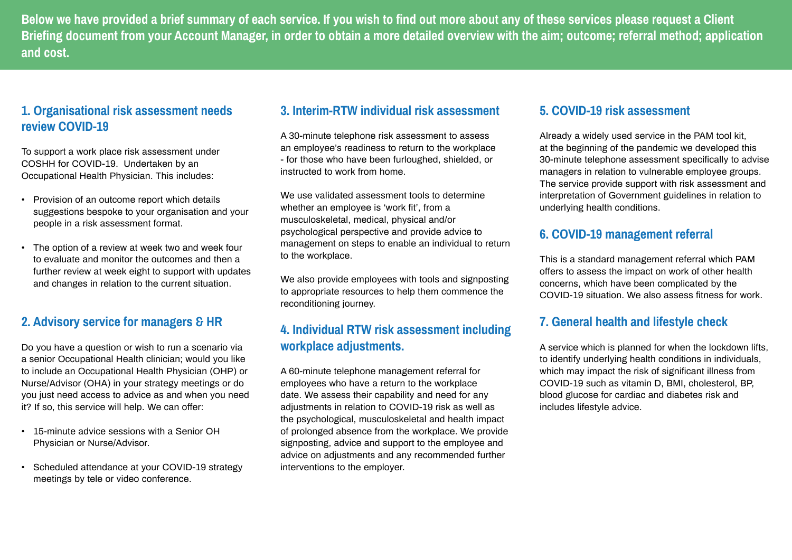#### **1. Organisational risk assessment needs review COVID-19**

To support a work place risk assessment under COSHH for COVID-19. Undertaken by an Occupational Health Physician. This includes:

- Provision of an outcome report which details suggestions bespoke to your organisation and your people in a risk assessment format.
- The option of a review at week two and week four to evaluate and monitor the outcomes and then a further review at week eight to support with updates and changes in relation to the current situation.

#### **2. Advisory service for managers & HR**

Do you have a question or wish to run a scenario via a senior Occupational Health clinician; would you like to include an Occupational Health Physician (OHP) or Nurse/Advisor (OHA) in your strategy meetings or do you just need access to advice as and when you need it? If so, this service will help. We can offer:

We use validated assessment tools to determine whether an employee is 'work fit', from a musculoskeletal, medical, physical and/or psychological perspective and provide advice to management on steps to enable an individual to return to the workplace.

- 15-minute advice sessions with a Senior OH Physician or Nurse/Advisor.
- Scheduled attendance at your COVID-19 strategy meetings by tele or video conference.

#### **3. Interim-RTW individual risk assessment**

A 30-minute telephone risk assessment to assess an employee's readiness to return to the workplace - for those who have been furloughed, shielded, or instructed to work from home.

We also provide employees with tools and signposting to appropriate resources to help them commence the reconditioning journey.

## **4. Individual RTW risk assessment including workplace adjustments.**

A 60-minute telephone management referral for employees who have a return to the workplace date. We assess their capability and need for any adjustments in relation to COVID-19 risk as well as the psychological, musculoskeletal and health impact of prolonged absence from the workplace. We provide signposting, advice and support to the employee and advice on adjustments and any recommended further interventions to the employer.

#### **5. COVID-19 risk assessment**

Already a widely used service in the PAM tool kit, at the beginning of the pandemic we developed this 30-minute telephone assessment specifically to advise managers in relation to vulnerable employee groups. The service provide support with risk assessment and interpretation of Government guidelines in relation to underlying health conditions.

## **6. COVID-19 management referral**

This is a standard management referral which PAM offers to assess the impact on work of other health concerns, which have been complicated by the COVID-19 situation. We also assess fitness for work.

# **7. General health and lifestyle check**

A service which is planned for when the lockdown lifts, to identify underlying health conditions in individuals, which may impact the risk of significant illness from COVID-19 such as vitamin D, BMI, cholesterol, BP, blood glucose for cardiac and diabetes risk and includes lifestyle advice.

**Below we have provided a brief summary of each service. If you wish to find out more about any of these services please request a Client Briefing document from your Account Manager, in order to obtain a more detailed overview with the aim; outcome; referral method; application and cost.**